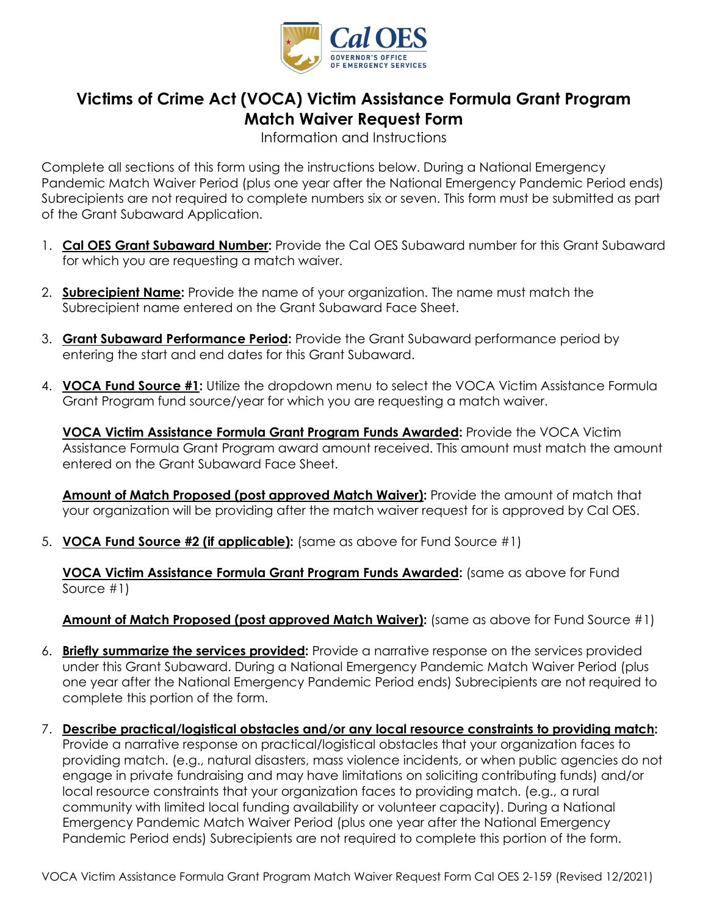

## **Victims of Crime Act (VOCA) Victim Assistance Formula Grant Program Match Waiver Request Form**

Information and Instructions

 Pandemic Match Waiver Period (plus one year after the National Emergency Pandemic Period ends) Complete all sections of this form using the instructions below. During a National Emergency Subrecipients are not required to complete numbers six or seven. This form must be submitted as part of the Grant Subaward Application.

- 1. **Cal OES Grant Subaward Number:** Provide the Cal OES Subaward number for this Grant Subaward for which you are requesting a match waiver.
- 2. **Subrecipient Name:** Provide the name of your organization. The name must match the Subrecipient name entered on the Grant Subaward Face Sheet.
- 3. **Grant Subaward Performance Period:** Provide the Grant Subaward performance period by entering the start and end dates for this Grant Subaward.
- 4. **VOCA Fund Source #1:** Utilize the dropdown menu to select the VOCA Victim Assistance Formula Grant Program fund source/year for which you are requesting a match waiver.

 **VOCA Victim Assistance Formula Grant Program Funds Awarded:** Provide the VOCA Victim Assistance Formula Grant Program award amount received. This amount must match the amount entered on the Grant Subaward Face Sheet.

**Amount of Match Proposed (post approved Match Waiver):** Provide the amount of match that your organization will be providing after the match waiver request for is approved by Cal OES.

5. **VOCA Fund Source #2 (if applicable):** (same as above for Fund Source #1)

**VOCA Victim Assistance Formula Grant Program Funds Awarded:** (same as above for Fund Source #1)

## **Amount of Match Proposed (post approved Match Waiver):** (same as above for Fund Source #1)

- 6. **Briefly summarize the services provided:** Provide a narrative response on the services provided under this Grant Subaward. During a National Emergency Pandemic Match Waiver Period (plus one year after the National Emergency Pandemic Period ends) Subrecipients are not required to complete this portion of the form.
- community with limited local funding availability or volunteer capacity). During a National Emergency Pandemic Match Waiver Period (plus one year after the National Emergency 7. **Describe practical/logistical obstacles and/or any local resource constraints to providing match:** Provide a narrative response on practical/logistical obstacles that your organization faces to providing match. (e.g., natural disasters, mass violence incidents, or when public agencies do not engage in private fundraising and may have limitations on soliciting contributing funds) and/or local resource constraints that your organization faces to providing match. (e.g., a rural Pandemic Period ends) Subrecipients are not required to complete this portion of the form.